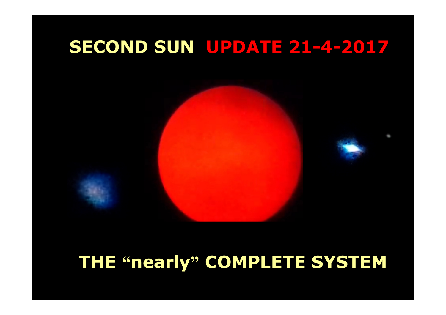# **SECOND SUN UPDATE 21-4-2017**

## **THE "nearly" COMPLETE SYSTEM**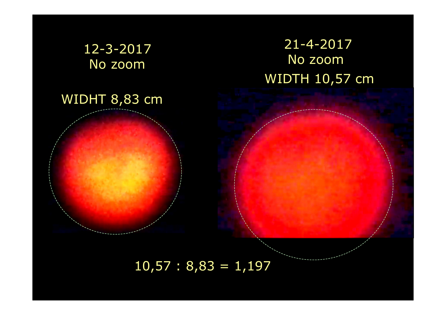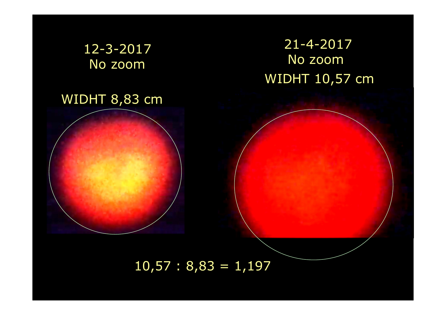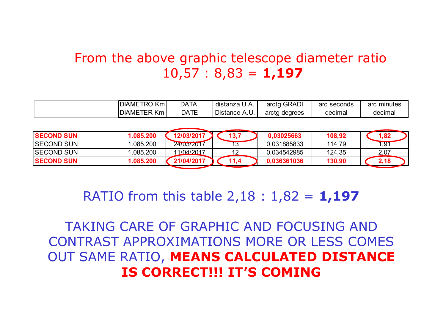#### From the above graphic telescope diameter ratio 10,57 : 8,83 = **1,197**

| $\overline{1}$<br><b>DIA</b><br><b>DIAMETRO</b><br>Kml    | <b>DATA</b> | distanza<br>ـ A.U                    | <b>GRADI</b><br>arctg | seconds<br>arc | arc<br>minutes |
|-----------------------------------------------------------|-------------|--------------------------------------|-----------------------|----------------|----------------|
| --- 17<br>n,<br><b>DIAME</b><br>.Km :<br><b>ER</b><br>. . | <b>DATE</b> | ∽<br>Distance<br>$\mathbf{v}$<br>، ب | degrees<br>arcta<br>ີ | decimal        | decimal        |

| <b>ISECOND SUN</b> | 1.085.200 | 12/03/2017 | 13,7 | 0.03025663  | 108,92 | 1,82 |
|--------------------|-----------|------------|------|-------------|--------|------|
| <b>SECOND SUN</b>  | .085.200  | 24/03/2017 |      | 0,031885833 | 114,79 | 1,91 |
| <b>SECOND SUN</b>  | .085.200  | 11/04/2017 |      | 0.034542985 | 124,35 | 2,07 |
| <b>ISECOND SUN</b> | 1.085.200 | 21/04/2017 | 11,4 | 0.036361036 | 130,90 | 2,18 |
|                    |           |            |      |             |        |      |

RATIO from this table 2,18 : 1,82 = **1,197**

TAKING CARE OF GRAPHIC AND FOCUSING AND CONTRAST APPROXIMATIONS MORE OR LESS COMES OUT SAME RATIO, **MEANS CALCULATED DISTANCE IS CORRECT!!! IT'S COMING**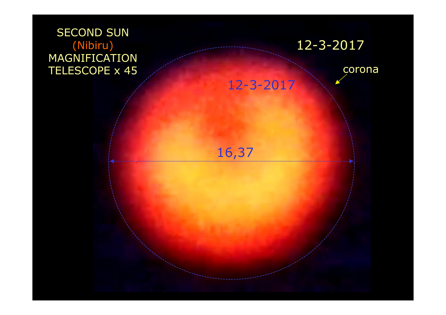### **SECOND SUN**  (Nibiru) MAGNIFICATION TELESCOPE x 45



16,37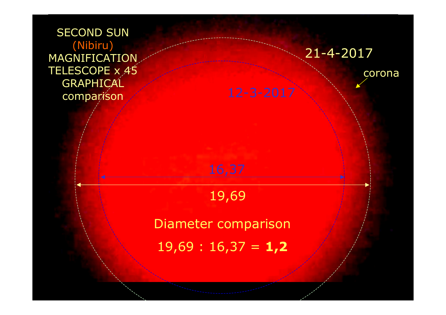**SECOND SUN** (Nibiru) MAGNIFICATION TELESCOPE x 45**GRAPHICAL** comparison



corona

19,69

Diameter comparison

19,69 : 16,37 = **1,2**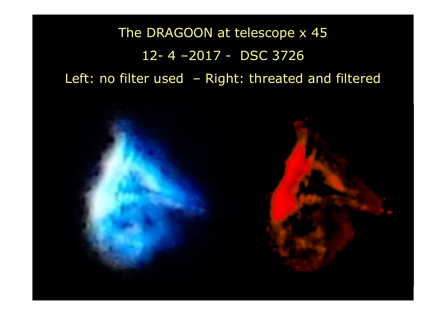The DRAGOON at telescope x 4512- 4 –2017 - DSC 3726 Left: no filter used – Right: threated and filtered

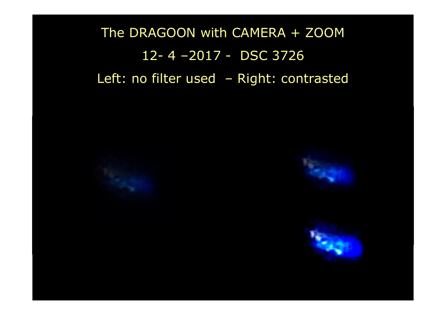The DRAGOON with CAMERA + ZOOM12- 4 –2017 - DSC 3726 Left: no filter used – Right: contrasted

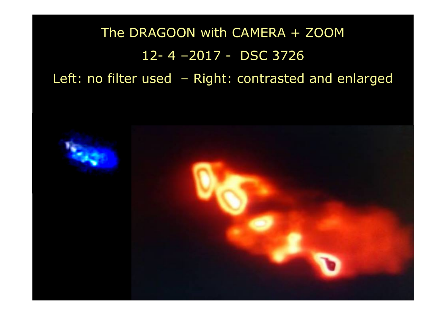The DRAGOON with CAMERA + ZOOM12- 4 –2017 - DSC 3726 Left: no filter used – Right: contrasted and enlarged